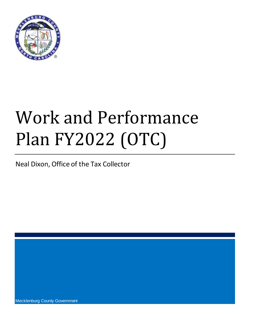

# Work and Performance Plan FY2022 (OTC)

Neal Dixon, Office of the Tax Collector

Mecklenburg County Government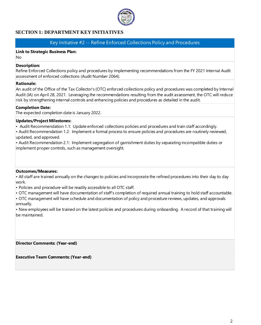

# **SECTION 1: DEPARTMENT KEY INITIATIVES**

# Key Initiative #2 -- Refine Enforced Collections Policy and Procedures

# **Link to Strategic Business Plan:**

No

## **Description:**

Refine Enforced Collections policy and procedures by implementing recommendations from the FY 2021 Internal Audit assessment of enforced collections (Audit Number 2064).

## **Rationale:**

An audit of the Office of the Tax Collector's (OTC) enforced collections policy and procedures was completed by Internal Audit (IA) on April 28, 2021. Leveraging the recommendations resulting from the audit assessment, the OTC will reduce risk by strengthening internal controls and enhancing policies and procedures as detailed in the audit.

## **Completion Date:**

The expected completion date is January 2022.

## **Updates/Project Milestones:**

• Audit Recommendation 1.1: Update enforced collections policies and procedures and train staff accordingly.

• Audit Recommendation 1.2: Implement a formal process to ensure policies and procedures are routinely reviewed, updated, and approved.

• Audit Recommendation 2.1: Implement segregation of garnishment duties by separating incompatible duties or implement proper controls, such as management oversight.

## **Outcomes/Measures:**

• All staff are trained annually on the changes to policies and incorporate the refined procedures into their day to day work.

• Policies and procedure will be readily accessible to all OTC staff.

• OTC management will have documentation of staff's completion of required annual training to hold staff accountable.

• OTC management will have schedule and documentation of policy and procedure reviews, updates, and approvals annually.

• New employees will be trained on the latest policies and procedures during onboarding. A record of that training will be maintained.

**Director Comments: (Year-end)**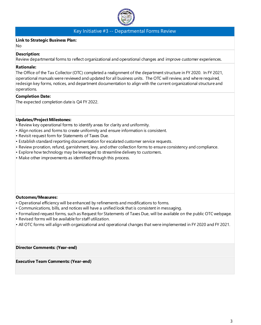

# Key Initiative #3 -- Departmental Forms Review

## **Link to Strategic Business Plan:**

No

## **Description:**

Review departmental forms to reflect organizational and operational changes and improve customer experiences.

## **Rationale:**

The Office of the Tax Collector (OTC) completed a realignment of the department structure in FY 2020. In FY 2021, operational manuals were reviewed and updated for all business units. The OTC will review, and where required, redesign key forms, notices, and department documentation to align with the current organizational structure and operations.

## **Completion Date:**

The expected completion date is Q4 FY 2022.

## **Updates/Project Milestones:**

- Review key operational forms to identify areas for clarity and uniformity.
- Align notices and forms to create uniformity and ensure information is consistent.
- Revisit request form for Statements of Taxes Due.
- Establish standard reporting documentation for escalated customer service requests.
- Review proration, refund, garnishment, levy, and other collection forms to ensure consistency and compliance.
- Explore how technology may be leveraged to streamline delivery to customers.
- Make other improvements as identified through this process.

## **Outcomes/Measures:**

- Operational efficiency will be enhanced by refinements and modifications to forms.
- Communications, bills, and notices will have a unified look that is consistent in messaging.
- Formalized request forms, such as Request for Statements of Taxes Due, will be available on the public OTC webpage. • Revised forms will be available for staff utilization.
- All OTC forms will align with organizational and operational changes that were implemented in FY 2020 and FY 2021.

**Director Comments: (Year-end)**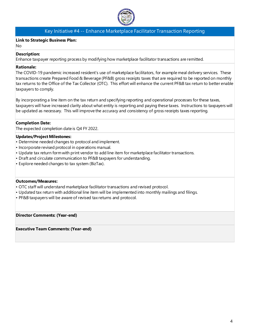

# Key Initiative #4 -- Enhance Marketplace Facilitator Transaction Reporting

## **Link to Strategic Business Plan:**

No

## **Description:**

Enhance taxpayer reporting process by modifying how marketplace facilitator transactions are remitted.

## **Rationale:**

The COVID-19 pandemic increased resident's use of marketplace facilitators, for example meal delivery services. These transactions create Prepared Food & Beverage (PF&B) gross receipts taxes that are required to be reported on monthly tax returns to the Office of the Tax Collector (OTC). This effort will enhance the current PF&B tax return to better enable taxpayers to comply.

By incorporating a line item on the tax return and specifying reporting and operational processes for these taxes, taxpayers will have increased clarity about what entity is reporting and paying these taxes. Instructions to taxpayers will be updated as necessary. This will improve the accuracy and consistency of gross receipts taxes reporting.

## **Completion Date:**

The expected completion date is Q4 FY 2022.

## **Updates/Project Milestones:**

- Determine needed changes to protocol and implement.
- Incorporate revised protocol in operations manual.
- Update tax return form with print vendor to add line item for marketplace facilitator transactions.
- Draft and circulate communication to PF&B taxpayers for understanding.
- Explore needed changes to tax system (BizTax).

## **Outcomes/Measures:**

- OTC staff will understand marketplace facilitator transactions and revised protocol.
- Updated tax return with additional line item will be implemented into monthly mailings and filings.
- PF&B taxpayers will be aware of revised tax returns and protocol.

## **Director Comments: (Year-end)**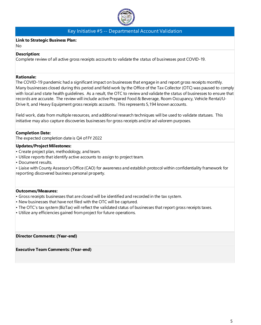

# Key Initiative #5 -- Departmental Account Validation

## **Link to Strategic Business Plan:**

No

## **Description:**

Complete review of all active gross receipts accounts to validate the status of businesses post COVID-19.

## **Rationale:**

The COVID-19 pandemic had a significant impact on businesses that engage in and report gross receipts monthly. Many businesses closed during this period and field work by the Office of the Tax Collector (OTC) was paused to comply with local and state health guidelines. As a result, the OTC to review and validate the status of businesses to ensure that records are accurate. The review will include active Prepared Food & Beverage, Room Occupancy, Vehicle Rental/U-Drive It, and Heavy Equipment gross receipts accounts. This represents 5,194 known accounts.

Field work, data from multiple resources, and additional research techniques will be used to validate statuses. This initiative may also capture discoveries businesses for gross receipts and/or ad valorem purposes.

## **Completion Date:**

The expected completion date is Q4 of FY 2022

## **Updates/Project Milestones:**

- Create project plan, methodology, and team.
- Utilize reports that identify active accounts to assign to project team.
- Document results.

• Liaise with County Assessor's Office (CAO) for awareness and establish protocol within confidentiality framework for reporting discovered business personal property.

## **Outcomes/Measures:**

- Gross receipts businesses that are closed will be identified and recorded in the tax system.
- New businesses that have not filed with the OTC will be captured.
- The OTC's tax system (BizTax) will reflect the validated status of businesses that report gross receipts taxes.
- Utilize any efficiencies gained from project for future operations.

**Director Comments: (Year-end)**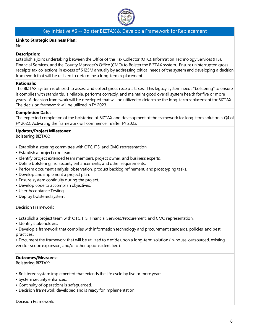

# Key Initiative #6 -- Bolster BIZTAX & Develop a Framework for Replacement

## **Link to Strategic Business Plan:**

No

## **Description:**

Establish a joint undertaking between the Office of the Tax Collector (OTC), Information Technology Services (ITS), Financial Services, and the County Manager's Office (CMO) to Bolster the BIZTAX system. Ensure uninterrupted gross receipts tax collections in excess of \$125M annually by addressing critical needs of the system and developing a decision framework that will be utilized to determine a long-term replacement

## **Rationale:**

The BIZTAX system is utilized to assess and collect gross receipts taxes. This legacy system needs "bolstering" to ensure it complies with standards, is reliable, performs correctly, and maintains good overall system health for five or more years. A decision framework will be developed that will be utilized to determine the long-term replacement for BIZTAX. The decision framework will be utilized in FY 2023.

## **Completion Date:**

The expected completion of the bolstering of BIZTAX and development of the framework for long-term solution is Q4 of FY 2022. Activating the framework will commence in/after FY 2023.

## **Updates/Project Milestones:**

Bolstering BIZTAX:

- Establish a steering committee with OTC, ITS, and CMO representation.
- Establish a project core team.
- Identify project extended team members, project owner, and business experts.
- Define bolstering, fix, security enhancements, and other requirements.
- Perform document analysis, observation, product backlog refinement, and prototyping tasks.
- Develop and implement a project plan.
- Ensure system continuity during the project.
- Develop code to accomplish objectives.
- User Acceptance Testing
- Deploy bolstered system.

Decision Framework:

- Establish a project team with OTC, ITS, Financial Services/Procurement, and CMO representation.
- Identify stakeholders.

• Develop a framework that complies with information technology and procurement standards, policies, and best practices.

• Document the framework that will be utilized to decide upon a long-term solution (in-house, outsourced, existing vendor scope expansion, and/or other options identified).

## **Outcomes/Measures:**

Bolstering BIZTAX:

- Bolstered system implemented that extends the life cycle by five or more years.
- System security enhanced.
- Continuity of operations is safeguarded.
- Decision framework developed and is ready for implementation

Decision Framework: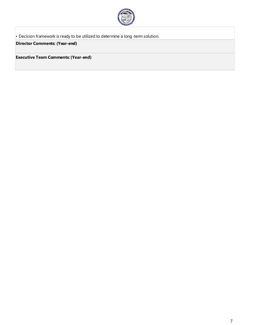

• Decision framework is ready to be utilized to determine a long-term solution.

**Director Comments: (Year-end)**